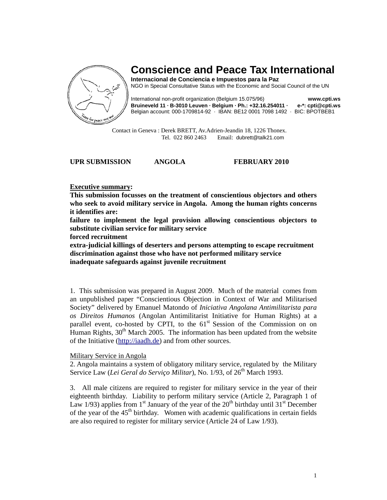

# **Conscience and Peace Tax International**

**Internacional de Conciencia e Impuestos para la Paz** 

NGO in Special Consultative Status with the Economic and Social Council of the UN

International non-profit organization (Belgium 15.075/96) **www.cpti.ws Bruineveld 11 · B-3010 Leuven · Belgium · Ph.: +32.16.254011 · e-\*: cpti@cpti.ws**  Belgian account: 000-1709814-92 · IBAN: BE12 0001 7098 1492 · BIC: BPOTBEB1

 Contact in Geneva : Derek BRETT, Av.Adrien-Jeandin 18, 1226 Thonex. Tel. 022 860 2463 Email: dubrett@talk21.com

### **UPR SUBMISSION ANGOLA FEBRUARY 2010**

### **Executive summary:**

**This submission focusses on the treatment of conscientious objectors and others who seek to avoid military service in Angola. Among the human rights concerns it identifies are:** 

**failure to implement the legal provision allowing conscientious objectors to substitute civilian service for military service** 

**forced recruitment** 

**extra-judicial killings of deserters and persons attempting to escape recruitment discrimination against those who have not performed military service inadequate safeguards against juvenile recruitment** 

1. This submission was prepared in August 2009. Much of the material comes from an unpublished paper "Conscientious Objection in Context of War and Militarised Society" delivered by Emanuel Matondo of *Iniciativa Angolana Antimilitarista para os Direitos Humanos* (Angolan Antimilitarist Initiative for Human Rights) at a parallel event, co-hosted by CPTI, to the  $61<sup>st</sup>$  Session of the Commission on on Human Rights,  $30<sup>th</sup>$  March 2005. The information has been updated from the website of the Initiative (http://iaadh.de) and from other sources.

## Military Service in Angola

2. Angola maintains a system of obligatory military service, regulated by the Military Service Law (*Lei Geral do Serviço Militar*), No. 1/93, of 26<sup>th</sup> March 1993.

3. All male citizens are required to register for military service in the year of their eighteenth birthday. Liability to perform military service (Article 2, Paragraph 1 of Law 1/93) applies from 1<sup>st</sup> January of the year of the  $20<sup>th</sup>$  birthday until 31<sup>st</sup> December of the year of the  $45<sup>th</sup>$  birthday. Women with academic qualifications in certain fields are also required to register for military service (Article 24 of Law 1/93).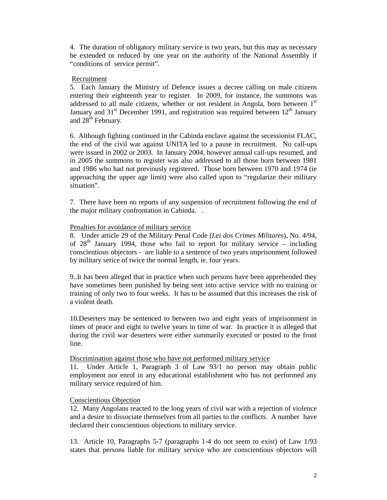4. The duration of obligatory military service is two years, but this may as necessary be extended or reduced by one year on the authority of the National Assembly if "conditions of service permit".

#### Recruitment

5. Each January the Ministry of Defence issues a decree calling on male citizens entering their eighteenth year to register. In 2009, for instance, the summons was addressed to all male citizens, whether or not resident in Angola, born between 1<sup>st</sup> January and  $31<sup>st</sup>$  December 1991, and registration was required between  $12<sup>th</sup>$  January and 28<sup>th</sup> February.

6. Although fighting continued in the Cabinda enclave against the secessionist FLAC, the end of the civil war against UNITA led to a pause in recruitment. No call-ups were issued in 2002 or 2003. In January 2004, however annual call-ups resumed, and in 2005 the summons to register was also addressed to all those born between 1981 and 1986 who had not previously registered. Those born between 1970 and 1974 (ie approaching the upper age limit) were also called upon to "regularize their military situation".

7. There have been no reports of any suspension of recruitment following the end of the major military confrontation in Cabinda. .

#### Penalties for avoidance of military service

8. Under article 29 of the Military Penal Code (*Lei dos Crimes Militares*), No. 4/94, of  $28<sup>th</sup>$  January 1994, those who fail to report for military service – including conscientious objectors - are liable to a sentence of two years imprisonment followed by military serice of twice the normal length, ie. four years.

9..It has been alleged that in practice when such persons have been apprehended they have sometimes been punished by being sent into active service with no training or training of only two to four weeks. It has to be assumed that this increases the risk of a violent death.

10.Deserters may be sentenced to between two and eight years of imprisonment in times of peace and eight to twelve years in time of war. In practice it is alleged that during the civil war deserters were either summarily executed or posted to the front line.

#### Discrimination against those who have not performed military service

11. Under Article 1, Paragraph 3 of Law 93/1 no person may obtain public employment nor enrol in any educational establishment who has not performed any military service required of him.

### Conscientious Objection

12. Many Angolans reacted to the long years of civil war with a rejection of violence and a desire to dissociate themselves from all parties to the conflicts. A number have declared their conscientious objections to military service.

13. Article 10, Paragraphs 5-7 (paragraphs 1-4 do not seem to exist) of Law 1/93 states that persons liable for military service who are conscientious objectors will